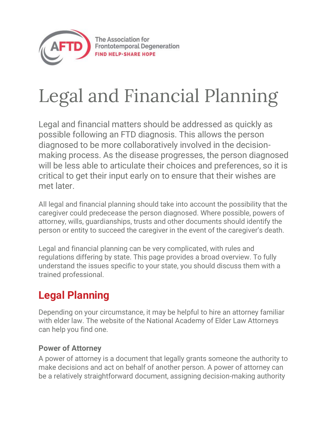

# Legal and Financial Planning

Legal and financial matters should be addressed as quickly as possible following an FTD diagnosis. This allows the person diagnosed to be more collaboratively involved in the decisionmaking process. As the disease progresses, the person diagnosed will be less able to articulate their choices and preferences, so it is critical to get their input early on to ensure that their wishes are met later.

All legal and financial planning should take into account the possibility that the caregiver could predecease the person diagnosed. Where possible, powers of attorney, wills, guardianships, trusts and other documents should identify the person or entity to succeed the caregiver in the event of the caregiver's death.

Legal and financial planning can be very complicated, with rules and regulations differing by state. This page provides a broad overview. To fully understand the issues specific to your state, you should discuss them with a trained professional.

### **Legal Planning**

Depending on your circumstance, it may be helpful to hire an attorney familiar with elder law. The website of the National Academy of Elder Law Attorneys can help you find one.

#### **Power of Attorney**

A power of attorney is a document that legally grants someone the authority to make decisions and act on behalf of another person. A power of attorney can be a relatively straightforward document, assigning decision-making authority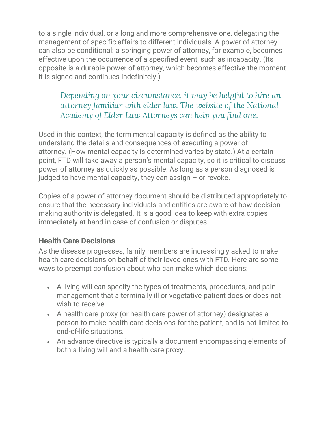to a single individual, or a long and more comprehensive one, delegating the management of specific affairs to different individuals. A power of attorney can also be conditional: a springing power of attorney, for example, becomes effective upon the occurrence of a specified event, such as incapacity. (Its opposite is a durable power of attorney, which becomes effective the moment it is signed and continues indefinitely.)

#### *Depending on your circumstance, it may be helpful to hire an attorney familiar with elder law. The website of the National Academy of Elder Law Attorneys can help you find one.*

Used in this context, the term mental capacity is defined as the ability to understand the details and consequences of executing a power of attorney. (How mental capacity is determined varies by state.) At a certain point, FTD will take away a person's mental capacity, so it is critical to discuss power of attorney as quickly as possible. As long as a person diagnosed is judged to have mental capacity, they can assign  $-$  or revoke.

Copies of a power of attorney document should be distributed appropriately to ensure that the necessary individuals and entities are aware of how decisionmaking authority is delegated. It is a good idea to keep with extra copies immediately at hand in case of confusion or disputes.

#### **Health Care Decisions**

As the disease progresses, family members are increasingly asked to make health care decisions on behalf of their loved ones with FTD. Here are some ways to preempt confusion about who can make which decisions:

- A living will can specify the types of treatments, procedures, and pain management that a terminally ill or vegetative patient does or does not wish to receive.
- A health care proxy (or health care power of attorney) designates a person to make health care decisions for the patient, and is not limited to end-of-life situations.
- An advance directive is typically a document encompassing elements of both a living will and a health care proxy.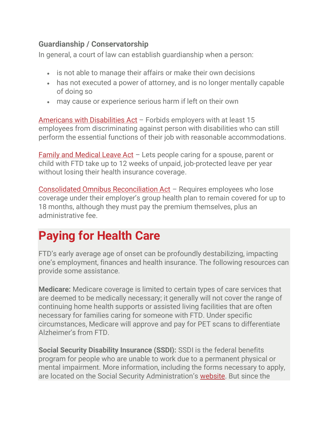#### **Guardianship / Conservatorship**

In general, a court of law can establish guardianship when a person:

- is not able to manage their affairs or make their own decisions
- has not executed a power of attorney, and is no longer mentally capable of doing so
- may cause or experience serious harm if left on their own

[Americans with Disabilities Act](https://www.ada.gov/) - Forbids employers with at least 15 employees from discriminating against person with disabilities who can still perform the essential functions of their job with reasonable accommodations.

[Family and Medical Leave Act](https://www.dol.gov/whd/fmla/) – Lets people caring for a spouse, parent or child with FTD take up to 12 weeks of unpaid, job-protected leave per year without losing their health insurance coverage.

[Consolidated Omnibus Reconciliation Act](https://www.dol.gov/general/topic/health-plans/cobra) – Requires employees who lose coverage under their employer's group health plan to remain covered for up to 18 months, although they must pay the premium themselves, plus an administrative fee.

## **Paying for Health Care**

FTD's early average age of onset can be profoundly destabilizing, impacting one's employment, finances and health insurance. The following resources can provide some assistance.

**Medicare:** Medicare coverage is limited to certain types of care services that are deemed to be medically necessary; it generally will not cover the range of continuing home health supports or assisted living facilities that are often necessary for families caring for someone with FTD. Under specific circumstances, Medicare will approve and pay for PET scans to differentiate Alzheimer's from FTD.

**Social Security Disability Insurance (SSDI):** SSDI is the federal benefits program for people who are unable to work due to a permanent physical or mental impairment. More information, including the forms necessary to apply, are located on the Social Security Administration's [website.](http://www.socialsecurity.gov/disability/disability_starter_kits_adult_eng.htm) But since the